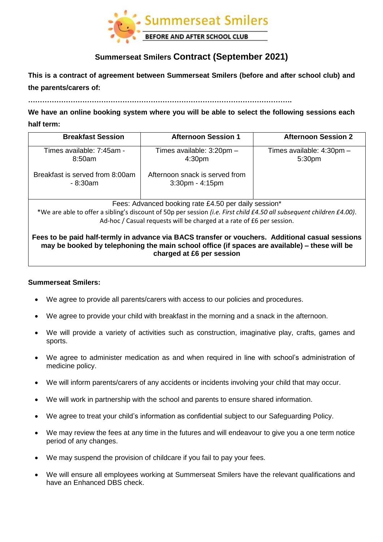

# **Summerseat Smilers Contract (September 2021)**

# **This is a contract of agreement between Summerseat Smilers (before and after school club) and the parents/carers of:**

**We have an online booking system where you will be able to select the following sessions each** 

### **half term:**

| <b>Breakfast Session</b>                                                                                                                                                                                                       | <b>Afternoon Session 1</b>                              | <b>Afternoon Session 2</b>          |
|--------------------------------------------------------------------------------------------------------------------------------------------------------------------------------------------------------------------------------|---------------------------------------------------------|-------------------------------------|
| Times available: 7:45am -<br>8:50am                                                                                                                                                                                            | Times available: 3:20pm -<br>4:30 <sub>pm</sub>         | Times available: 4:30pm -<br>5:30pm |
| Breakfast is served from 8:00am<br>- 8:30am                                                                                                                                                                                    | Afternoon snack is served from<br>$3:30$ pm - $4:15$ pm |                                     |
| Fees: Advanced booking rate £4.50 per daily session*<br>*We are able to offer a sibling's discount of 50p per session (i.e. First child £4.50 all subsequent children £4.00).                                                  |                                                         |                                     |
| Ad-hoc / Casual requests will be charged at a rate of £6 per session.                                                                                                                                                          |                                                         |                                     |
| Fees to be paid half-termly in advance via BACS transfer or vouchers. Additional casual sessions<br>may be booked by telephoning the main school office (if spaces are available) – these will be<br>charged at £6 per session |                                                         |                                     |

#### **Summerseat Smilers:**

- We agree to provide all parents/carers with access to our policies and procedures.
- We agree to provide your child with breakfast in the morning and a snack in the afternoon.
- We will provide a variety of activities such as construction, imaginative play, crafts, games and sports.
- We agree to administer medication as and when required in line with school's administration of medicine policy.
- We will inform parents/carers of any accidents or incidents involving your child that may occur.
- We will work in partnership with the school and parents to ensure shared information.
- We agree to treat your child's information as confidential subject to our Safeguarding Policy.
- We may review the fees at any time in the futures and will endeavour to give you a one term notice period of any changes.
- We may suspend the provision of childcare if you fail to pay your fees.
- We will ensure all employees working at Summerseat Smilers have the relevant qualifications and have an Enhanced DBS check.